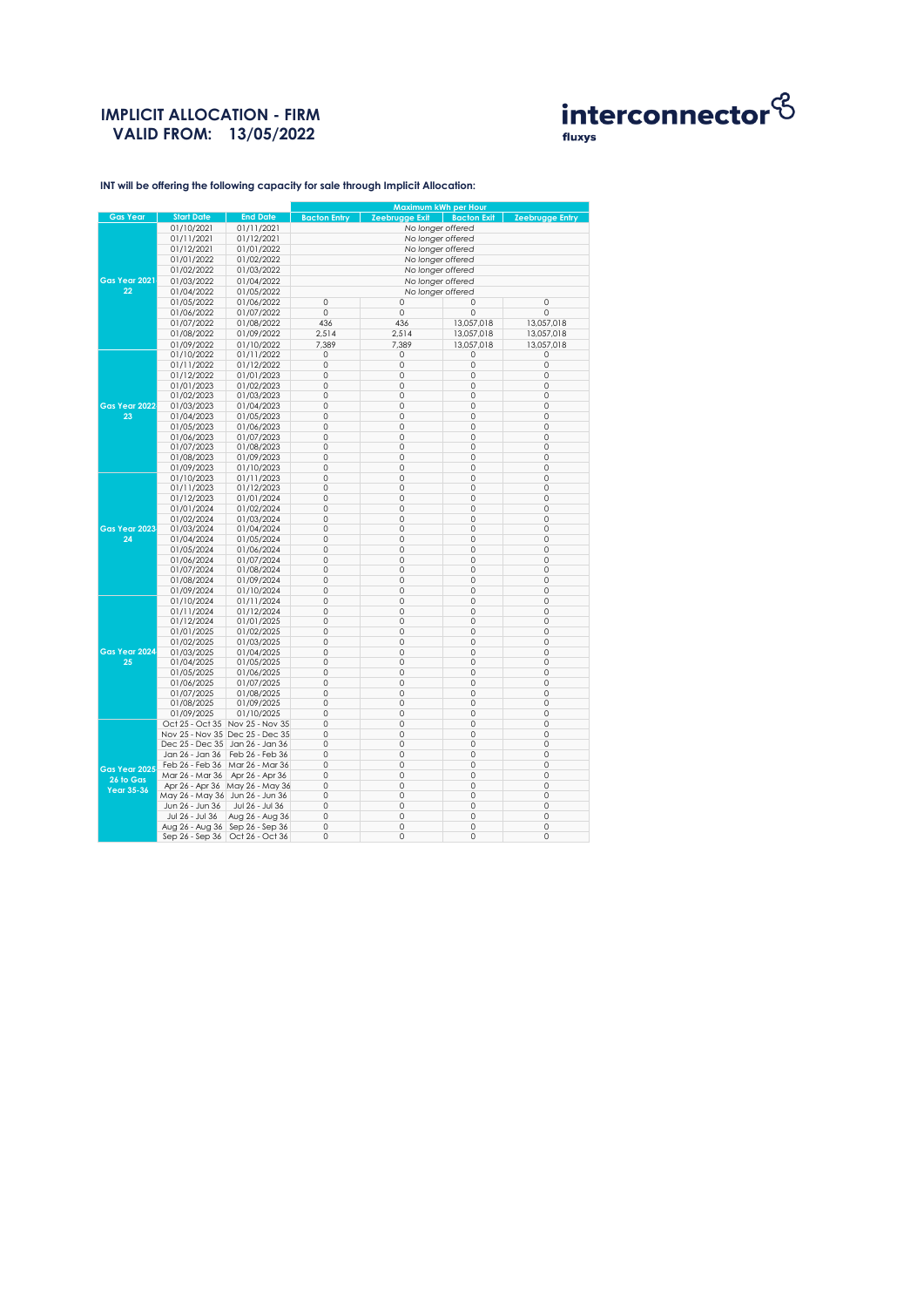# **IMPLICIT ALLOCATION - FIRM VALID FROM: 13/05/2022**



**INT will be offering the following capacity for sale through Implicit Allocation:** 

|                 |                                   |                                 | Maximum kWh per Hour |                       |                    |                        |  |
|-----------------|-----------------------------------|---------------------------------|----------------------|-----------------------|--------------------|------------------------|--|
| <b>Gas Year</b> | <b>Start Date</b>                 | <b>End Date</b>                 | <b>Bacton Entry</b>  | <b>Zeebrugge Exit</b> | <b>Bacton Exit</b> | <b>Zeebrugge Entry</b> |  |
|                 | 01/10/2021                        | 01/11/2021                      | No longer offered    |                       |                    |                        |  |
|                 | 01/11/2021                        | 01/12/2021                      | No longer offered    |                       |                    |                        |  |
|                 | 01/12/2021                        | 01/01/2022                      | No longer offered    |                       |                    |                        |  |
|                 | 01/01/2022                        | 01/02/2022                      | No longer offered    |                       |                    |                        |  |
|                 | 01/02/2022                        | 01/03/2022                      | No longer offered    |                       |                    |                        |  |
| Gas Year 2021   | 01/03/2022                        | 01/04/2022                      | No longer offered    |                       |                    |                        |  |
| 22              | 01/04/2022                        | 01/05/2022                      | No longer offered    |                       |                    |                        |  |
|                 | 01/05/2022                        | 01/06/2022                      | $\circ$              | 0                     | 0                  | $\circ$                |  |
|                 | 01/06/2022                        | 01/07/2022                      | 0                    | 0                     | 0                  | 0                      |  |
|                 | 01/07/2022                        | 01/08/2022                      | 436                  | 436                   | 13,057,018         | 13,057,018             |  |
|                 | 01/08/2022                        | 01/09/2022                      | 2,514                | 2,514                 | 13,057,018         | 13,057,018             |  |
|                 | 01/09/2022                        | 01/10/2022                      | 7,389                | 7,389                 | 13,057,018         | 13,057,018             |  |
|                 | 01/10/2022                        | 01/11/2022                      | 0                    | 0                     | 0                  | 0                      |  |
|                 | 01/11/2022                        | 01/12/2022                      | 0                    | 0                     | $\mathbf 0$        | $\mathbf 0$            |  |
|                 | 01/12/2022                        | 01/01/2023                      | 0                    | 0                     | 0                  | $\circ$                |  |
|                 | 01/01/2023                        | 01/02/2023                      | 0                    | $\circ$               | 0                  | $\mathbf 0$            |  |
|                 | 01/02/2023                        | 01/03/2023                      | $\mathbb O$          | 0                     | 0                  | 0                      |  |
| Gas Year 2022   | 01/03/2023                        | 01/04/2023                      | 0                    | $\circ$               | 0                  | $\mathbf 0$            |  |
| 23              | 01/04/2023                        | 01/05/2023                      | 0                    | 0                     | 0                  | 0                      |  |
|                 | 01/05/2023                        | 01/06/2023                      | 0                    | 0                     | 0                  | 0                      |  |
|                 | 01/06/2023                        | 01/07/2023                      | 0                    | 0                     | 0                  | 0                      |  |
|                 | 01/07/2023                        | 01/08/2023                      | $\mathbb O$          | 0                     | 0                  | $\mathsf{O}\xspace$    |  |
|                 | 01/08/2023                        | 01/09/2023                      | 0                    | 0                     | 0                  | $\circ$                |  |
|                 | 01/09/2023                        | 01/10/2023                      | $\circ$              | $\circ$               | 0                  | $\mathbf 0$            |  |
|                 | 01/10/2023                        | 01/11/2023                      | $\circ$              | $\circ$               | 0                  | 0                      |  |
|                 | 01/11/2023                        | 01/12/2023                      | 0                    | 0                     | 0                  | 0                      |  |
|                 | 01/12/2023                        | 01/01/2024                      | $\circ$              | 0                     | 0                  | $\mathbf 0$            |  |
|                 | 01/01/2024                        | 01/02/2024                      | 0                    | 0                     | 0                  | $\mathbf 0$            |  |
|                 | 01/02/2024                        | 01/03/2024                      | $\circ$              | $\circ$               | 0                  | $\mathbf 0$            |  |
| Gas Year 2023   | 01/03/2024                        | 01/04/2024                      | 0                    | 0                     | 0                  | 0                      |  |
| 24              | 01/04/2024                        | 01/05/2024                      | 0                    | $\circ$               | 0                  | 0                      |  |
|                 | 01/05/2024                        | 01/06/2024                      | $\mathbb O$          | 0                     | 0                  | $\mathsf{O}\xspace$    |  |
|                 | 01/06/2024                        | 01/07/2024                      | 0                    | 0                     | 0                  | $\mathbf 0$            |  |
|                 | 01/07/2024                        | 01/08/2024                      | 0                    | 0                     | 0                  | $\circ$                |  |
|                 | 01/08/2024                        | 01/09/2024                      | $\circ$              | $\circ$               | 0                  | $\mathbf 0$            |  |
|                 | 01/09/2024                        | 01/10/2024                      | 0                    | 0                     | 0                  | $\mathsf{O}\xspace$    |  |
|                 | 01/10/2024                        | 01/11/2024                      | $\circ$              | 0                     | 0                  | $\mathsf{O}\xspace$    |  |
|                 | 01/11/2024                        | 01/12/2024                      | 0                    | 0                     | 0                  | $\circ$                |  |
|                 | 01/12/2024                        | 01/01/2025                      | $\circ$              | $\circ$               | 0                  | $\mathbf 0$            |  |
|                 | 01/01/2025                        | 01/02/2025                      | 0                    | 0                     | 0                  | $\circ$                |  |
|                 | 01/02/2025                        | 01/03/2025                      | 0                    | 0                     | 0                  | $\circ$                |  |
| Gas Year 2024   | 01/03/2025                        | 01/04/2025                      | $\circ$              | $\circ$               | 0                  | $\circ$                |  |
| 25              | 01/04/2025                        | 01/05/2025                      | 0                    | 0                     | 0                  | $\circ$                |  |
|                 | 01/05/2025                        | 01/06/2025                      | $\circ$              | $\circ$               | 0                  | 0                      |  |
|                 | 01/06/2025                        | 01/07/2025                      | 0                    | 0                     | 0                  | 0                      |  |
|                 | 01/07/2025                        | 01/08/2025                      | 0                    | $\circ$               | 0                  | $\circ$                |  |
|                 | 01/08/2025                        | 01/09/2025                      | $\circ$              | 0                     | 0                  | 0                      |  |
|                 | 01/09/2025                        | 01/10/2025                      | 0                    | 0                     | 0                  | $\circ$                |  |
|                 |                                   | Oct 25 - Oct 35 Nov 25 - Nov 35 | $\circ$              | 0                     | 0                  | 0                      |  |
|                 | Nov 25 - Nov 35 Dec 25 - Dec 35   |                                 | $\circ$              | 0                     | 0                  | 0                      |  |
|                 | Dec 25 - Dec 35                   | Jan 26 - Jan 36                 | 0                    | 0                     | 0                  | 0                      |  |
|                 | Jan 26 - Jan 36                   | Feb 26 - Feb 36                 | $\circ$              | $\circ$               | 0                  | $\circ$                |  |
| Gas Year 2025   | Feb 26 - Feb 36                   | Mar 26 - Mar 36                 | 0                    | 0                     | 0                  | 0                      |  |
| 26 to Gas       | Mar 26 - Mar 36                   | Apr 26 - Apr 36                 | $\circ$              | $\circ$               | 0                  | 0                      |  |
|                 |                                   | Apr 26 - Apr 36 May 26 - May 36 | $\circ$              | $\circ$               | 0                  | $\circ$                |  |
| Year 35-36      | May 26 - May 36 Jun 26 - Jun 36   |                                 | 0                    | 0                     | 0                  | $\circ$                |  |
|                 | Jun 26 - Jun 36                   | Jul 26 - Jul 36                 | 0                    | $\circ$               | 0                  | $\circ$                |  |
|                 | Jul 26 - Jul 36                   | Aug 26 - Aug 36                 | 0                    | 0                     | 0                  | $\circ$                |  |
|                 | Aug 26 - Aug 36   Sep 26 - Sep 36 |                                 | 0                    | $\circ$               | 0                  | 0                      |  |
|                 | Sep 26 - Sep 36                   | Oct 26 - Oct 36                 | $\circ$              | $\circ$               | 0                  | 0                      |  |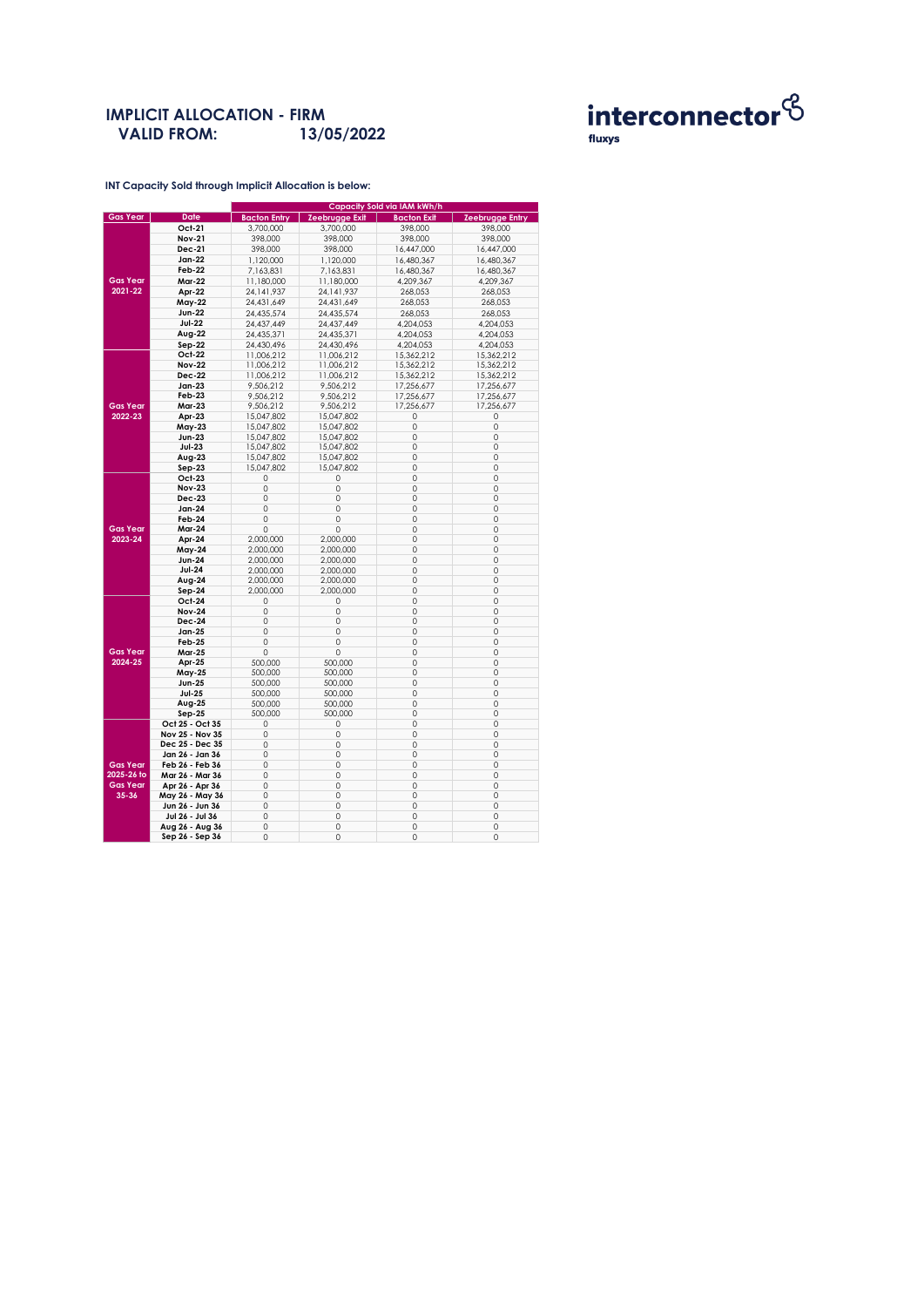### **IMPLICIT ALLOCATION - FIRM VALID FROM: 13/05/2022**



**INT Capacity Sold through Implicit Allocation is below:** 

|                 |                                    | Capacity Sold via IAM kWh/h |                |                    |                 |  |  |
|-----------------|------------------------------------|-----------------------------|----------------|--------------------|-----------------|--|--|
| <b>Gas Year</b> | <b>Date</b>                        | <b>Bacton Entry</b>         | Zeebrugge Exit | <b>Bacton Exit</b> | Zeebrugge Entry |  |  |
|                 | Oct-21                             | 3,700,000                   | 3,700,000      | 398,000            | 398,000         |  |  |
|                 | <b>Nov-21</b>                      | 398,000                     | 398,000        | 398,000            | 398,000         |  |  |
|                 | <b>Dec-21</b>                      | 398,000                     | 398,000        | 16,447,000         | 16,447,000      |  |  |
|                 | Jan-22                             | 1,120,000                   | 1,120,000      | 16,480,367         | 16,480,367      |  |  |
|                 | Feb-22                             | 7,163,831                   | 7,163,831      | 16,480,367         | 16,480,367      |  |  |
| <b>Gas Year</b> | <b>Mar-22</b>                      | 11,180,000                  | 11,180,000     | 4,209,367          | 4,209,367       |  |  |
| 2021-22         | Apr-22                             | 24, 141, 937                | 24, 141, 937   | 268,053            | 268,053         |  |  |
|                 | May-22                             | 24,431,649                  | 24,431,649     | 268,053            | 268,053         |  |  |
|                 | <b>Jun-22</b>                      | 24,435,574                  | 24,435,574     | 268,053            | 268,053         |  |  |
|                 | <b>Jul-22</b>                      | 24,437,449                  | 24,437,449     | 4,204,053          | 4,204,053       |  |  |
|                 | Aug-22                             | 24,435,371                  | 24,435,371     | 4,204,053          | 4,204,053       |  |  |
|                 | Sep-22                             | 24,430,496                  | 24,430,496     | 4,204,053          | 4,204,053       |  |  |
|                 | Oct-22                             | 11,006,212                  | 11,006,212     | 15,362,212         | 15,362,212      |  |  |
|                 | <b>Nov-22</b>                      | 11,006,212                  | 11,006,212     | 15,362,212         | 15,362,212      |  |  |
|                 | <b>Dec-22</b>                      | 11,006,212                  | 11,006,212     | 15,362,212         | 15,362,212      |  |  |
|                 | Jan-23                             | 9,506,212                   | 9,506,212      | 17,256,677         | 17,256,677      |  |  |
|                 | Feb-23                             | 9,506,212                   | 9,506,212      | 17,256,677         | 17,256,677      |  |  |
| <b>Gas Year</b> | <b>Mar-23</b>                      | 9,506,212                   | 9,506,212      | 17,256,677         | 17,256,677      |  |  |
| 2022-23         | Apr-23                             | 15,047,802                  | 15,047,802     | 0                  | 0               |  |  |
|                 | May-23                             | 15,047,802                  | 15,047,802     | 0                  | 0               |  |  |
|                 | Jun-23                             | 15,047,802                  | 15,047,802     | 0                  | 0               |  |  |
|                 | <b>Jul-23</b>                      | 15,047,802                  | 15,047,802     | 0                  | 0               |  |  |
|                 | Aug-23                             | 15,047,802                  | 15,047,802     | 0                  | 0               |  |  |
|                 | Sep-23                             | 15,047,802                  | 15,047,802     | 0                  | 0               |  |  |
|                 | Oct-23                             | 0                           | 0              | $\circ$            | $\circ$         |  |  |
|                 | <b>Nov-23</b>                      | 0                           | 0              | 0                  | 0               |  |  |
|                 | <b>Dec-23</b>                      | 0                           | 0              | 0                  | 0               |  |  |
|                 | Jan-24                             | 0                           | 0              | 0                  | 0               |  |  |
|                 | Feb-24                             | 0                           | 0              | $\circ$            | 0               |  |  |
| <b>Gas Year</b> | Mar-24                             | 0                           | 0              | 0                  | 0               |  |  |
| 2023-24         | Apr-24                             | 2,000,000                   | 2,000,000      | 0                  | 0               |  |  |
|                 | May-24                             | 2,000,000                   | 2,000,000      | 0                  | 0               |  |  |
|                 | <b>Jun-24</b>                      | 2,000,000                   | 2,000,000      | 0                  | 0               |  |  |
|                 | <b>Jul-24</b>                      | 2,000,000                   | 2,000,000      | 0                  | 0               |  |  |
|                 | Aug-24                             | 2,000,000                   | 2,000,000      | 0                  | 0               |  |  |
|                 | Sep-24                             | 2,000,000                   | 2,000,000      | 0                  | 0               |  |  |
|                 | Oct-24                             | 0                           | 0              | 0                  | 0               |  |  |
|                 | <b>Nov-24</b>                      | 0                           | 0              | 0                  | 0               |  |  |
|                 | Dec-24                             | $\circ$                     | 0              | $\circ$            | $\circ$         |  |  |
|                 | Jan-25                             | 0                           | 0              | 0                  | 0               |  |  |
|                 | <b>Feb-25</b>                      | 0                           | 0              | 0                  | 0               |  |  |
| <b>Gas Year</b> | Mar-25                             | 0                           | 0              | 0                  | 0               |  |  |
| 2024-25         | Apr-25                             | 500,000                     | 500,000        | 0                  | 0               |  |  |
|                 | May-25                             | 500,000                     | 500,000        | 0                  | 0               |  |  |
|                 | <b>Jun-25</b>                      | 500,000                     | 500,000        | 0                  | 0               |  |  |
|                 | <b>Jul-25</b>                      | 500,000                     | 500,000        | 0                  | 0               |  |  |
|                 | Aug-25                             | 500,000                     | 500,000        | $\circ$            | 0               |  |  |
|                 | Sep-25                             | 500,000                     | 500,000        | 0                  | 0               |  |  |
|                 | Oct 25 - Oct 35                    | 0                           | 0              | 0                  | 0               |  |  |
|                 | Nov 25 - Nov 35                    | 0                           | 0              | 0<br>$\circ$       | 0<br>0          |  |  |
|                 | Dec 25 - Dec 35                    | 0                           | 0              |                    |                 |  |  |
| <b>Gas Year</b> | Jan 26 - Jan 36                    | 0                           | 0              | 0                  | 0               |  |  |
| 2025-26 to      | Feb 26 - Feb 36                    | $\Omega$                    | 0              | 0                  | 0               |  |  |
| <b>Gas Year</b> | Mar 26 - Mar 36                    | 0<br>$\circ$                | 0<br>0         | 0<br>$\circ$       | 0<br>0          |  |  |
| 35-36           | Apr 26 - Apr 36                    | 0                           | 0              | 0                  | 0               |  |  |
|                 | May 26 - May 36<br>Jun 26 - Jun 36 | $\circ$                     | 0              | 0                  | 0               |  |  |
|                 | Jul 26 - Jul 36                    | 0                           | 0              | 0                  | 0               |  |  |
|                 | Aug 26 - Aug 36                    | 0                           | 0              | 0                  | 0               |  |  |
|                 |                                    | 0                           | 0              | 0                  | 0               |  |  |
|                 | Sep 26 - Sep 36                    |                             |                |                    |                 |  |  |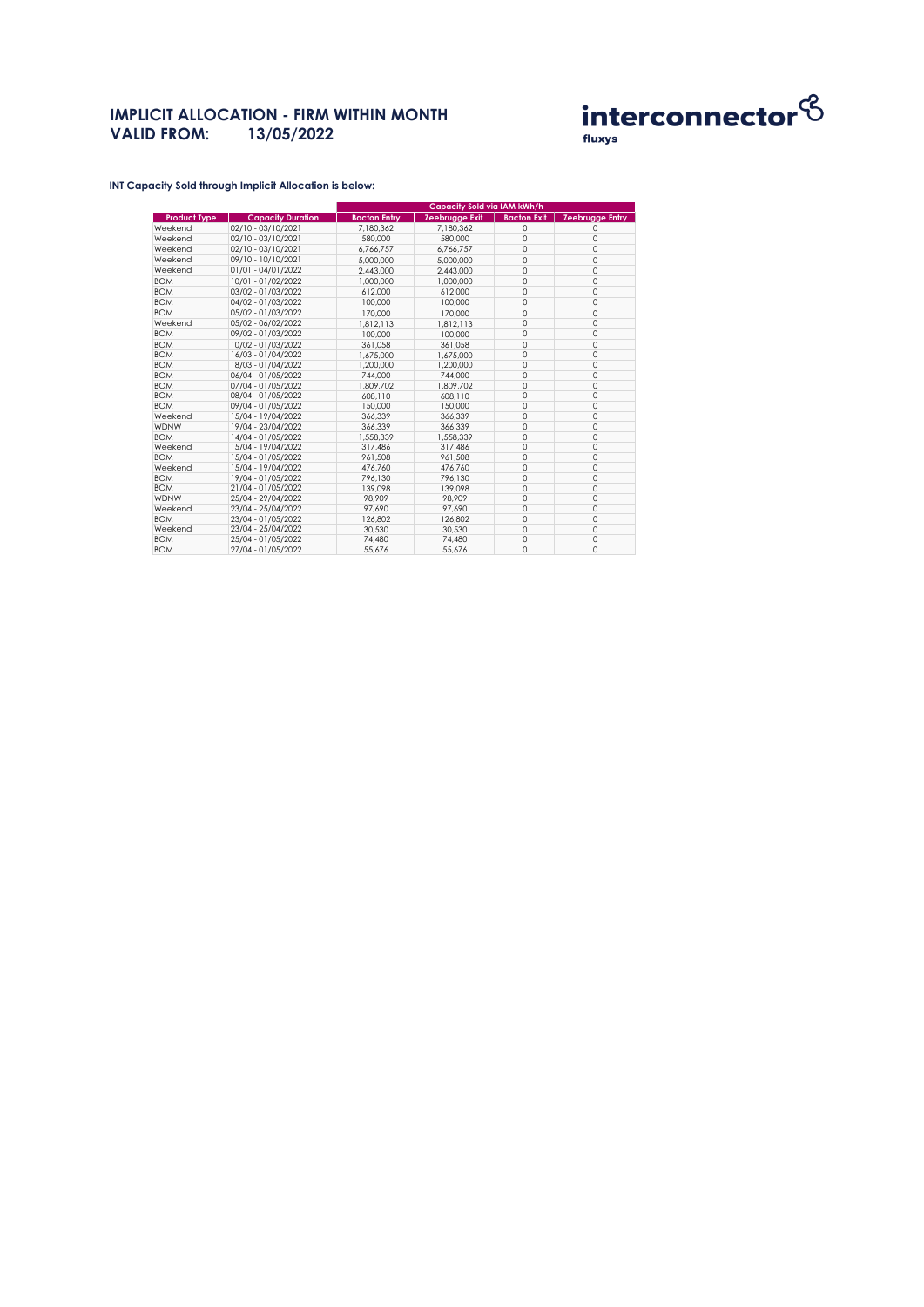## **IMPLICIT ALLOCATION - FIRM WITHIN MONTH VALID FROM: 13/05/2022**



**INT Capacity Sold through Implicit Allocation is below:** 

|                     |                          | <b>Capacity Sold via IAM kWh/h</b> |                |                    |                        |
|---------------------|--------------------------|------------------------------------|----------------|--------------------|------------------------|
| <b>Product Type</b> | <b>Capacity Duration</b> | <b>Bacton Entry</b>                | Zeebrugge Exit | <b>Bacton Exit</b> | <b>Zeebrugge Entry</b> |
| Weekend             | 02/10 - 03/10/2021       | 7.180.362                          | 7.180.362      | $\Omega$           | $\Omega$               |
| Weekend             | 02/10 - 03/10/2021       | 580,000                            | 580,000        | $\mathbf 0$        | $\circ$                |
| Weekend             | 02/10 - 03/10/2021       | 6.766.757                          | 6.766.757      | $\circ$            | $\mathbf 0$            |
| Weekend             | 09/10 - 10/10/2021       | 5.000.000                          | 5,000,000      | $\circ$            | $\mathbf 0$            |
| Weekend             | 01/01 - 04/01/2022       | 2,443,000                          | 2,443,000      | $\circ$            | $\mathbf 0$            |
| <b>BOM</b>          | 10/01 - 01/02/2022       | 1,000,000                          | 1,000,000      | $\circ$            | $\Omega$               |
| <b>BOM</b>          | 03/02 - 01/03/2022       | 612.000                            | 612.000        | $\circ$            | $\mathbf 0$            |
| <b>BOM</b>          | 04/02 - 01/03/2022       | 100,000                            | 100,000        | $\Omega$           | $\Omega$               |
| <b>BOM</b>          | 05/02 - 01/03/2022       | 170,000                            | 170,000        | $\circ$            | $\Omega$               |
| Weekend             | 05/02 - 06/02/2022       | 1.812.113                          | 1.812.113      | $\mathbf 0$        | $\Omega$               |
| <b>BOM</b>          | 09/02 - 01/03/2022       | 100,000                            | 100,000        | $\circ$            | $\Omega$               |
| <b>BOM</b>          | 10/02 - 01/03/2022       | 361.058                            | 361.058        | $\mathbf 0$        | 0                      |
| <b>BOM</b>          | 16/03 - 01/04/2022       | 1.675.000                          | 1.675.000      | $\circ$            | $\Omega$               |
| <b>BOM</b>          | 18/03 - 01/04/2022       | 1,200,000                          | 1,200,000      | $\circ$            | 0                      |
| <b>BOM</b>          | 06/04 - 01/05/2022       | 744.000                            | 744.000        | $\Omega$           | $\Omega$               |
| <b>BOM</b>          | 07/04 - 01/05/2022       | 1.809.702                          | 1.809.702      | $\circ$            | 0                      |
| <b>BOM</b>          | 08/04 - 01/05/2022       | 608.110                            | 608,110        | $\circ$            | 0                      |
| <b>BOM</b>          | 09/04 - 01/05/2022       | 150,000                            | 150,000        | $\Omega$           | $\Omega$               |
| Weekend             | 15/04 - 19/04/2022       | 366.339                            | 366.339        | $\circ$            | 0                      |
| <b>WDNW</b>         | 19/04 - 23/04/2022       | 366.339                            | 366.339        | $\circ$            | $\Omega$               |
| <b>BOM</b>          | 14/04 - 01/05/2022       | 1.558.339                          | 1.558.339      | $\circ$            | $\Omega$               |
| Weekend             | 15/04 - 19/04/2022       | 317.486                            | 317.486        | $\mathbf 0$        | 0                      |
| <b>BOM</b>          | 15/04 - 01/05/2022       | 961,508                            | 961,508        | $\circ$            | $\mathbf 0$            |
| Weekend             | 15/04 - 19/04/2022       | 476.760                            | 476.760        | $\mathbf 0$        | $\circ$                |
| <b>BOM</b>          | 19/04 - 01/05/2022       | 796.130                            | 796.130        | $\circ$            | $\Omega$               |
| <b>BOM</b>          | 21/04 - 01/05/2022       | 139.098                            | 139.098        | $\circ$            | $\Omega$               |
| <b>WDNW</b>         | 25/04 - 29/04/2022       | 98.909                             | 98.909         | $\mathbf 0$        | $\Omega$               |
| Weekend             | 23/04 - 25/04/2022       | 97.690                             | 97.690         | $\circ$            | $\Omega$               |
| <b>BOM</b>          | 23/04 - 01/05/2022       | 126,802                            | 126,802        | $\circ$            | $\mathbf 0$            |
| Weekend             | 23/04 - 25/04/2022       | 30.530                             | 30.530         | $\circ$            | $\Omega$               |
| <b>BOM</b>          | 25/04 - 01/05/2022       | 74.480                             | 74.480         | $\circ$            | $\mathbf 0$            |
| <b>BOM</b>          | 27/04 - 01/05/2022       | 55.676                             | 55.676         | $\Omega$           | $\Omega$               |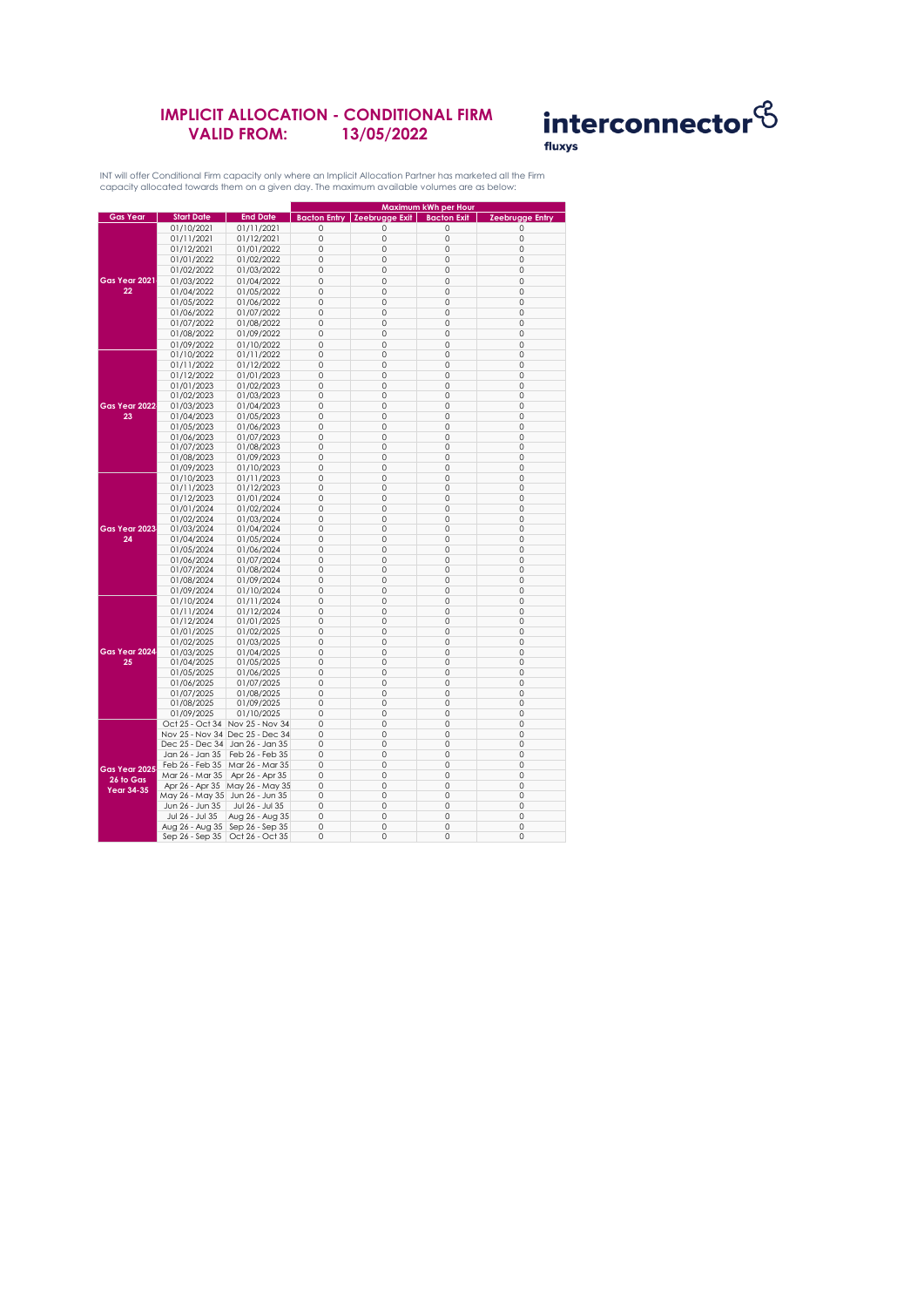### **IMPLICIT ALLOCATION - CONDITIONAL FIRM VALID FROM: 13/05/2022**



INT will offer Conditional Firm capacity only where an Implicit Allocation Partner has marketed all the Firm capacity allocated towards them on a given day. The maximum available volumes are as below:

|                                 |                                   |                                 |             | Maximum kWh per Hour                   |                    |                        |
|---------------------------------|-----------------------------------|---------------------------------|-------------|----------------------------------------|--------------------|------------------------|
| <b>Gas Year</b>                 | <b>Start Date</b>                 | <b>End Date</b>                 |             | <b>Bacton Entry   Zeebrugge Exit  </b> | <b>Bacton Exit</b> | <b>Zeebrugge Entry</b> |
|                                 | 01/10/2021                        | 01/11/2021                      | $\mathbf 0$ | 0                                      | $\mathbf 0$        | 0                      |
|                                 | 01/11/2021                        | 01/12/2021                      | $\mathbf 0$ | $\circ$                                | $\mathbf 0$        | $\mathbf 0$            |
|                                 |                                   |                                 |             |                                        |                    |                        |
|                                 | 01/12/2021                        | 01/01/2022                      | $\circ$     | 0                                      | 0                  | $\circ$                |
|                                 | 01/01/2022                        | 01/02/2022                      | $\circ$     | 0                                      | $\mathbf 0$        | 0                      |
| Gas Year 2021<br>22             | 01/02/2022                        | 01/03/2022                      | $\circ$     | 0                                      | 0                  | $\mathbf 0$            |
|                                 | 01/03/2022                        | 01/04/2022                      | $\mathbf 0$ | $\circ$                                | $\mathbf 0$        | $\mathbf 0$            |
|                                 | 01/04/2022                        | 01/05/2022                      | $\circ$     | 0                                      | 0                  | $\circ$                |
|                                 | 01/05/2022                        | 01/06/2022                      | $\circ$     | 0                                      | 0                  | $\circ$                |
|                                 | 01/06/2022                        | 01/07/2022                      | $\circ$     | 0                                      | $\circ$            | $\mathbf 0$            |
|                                 | 01/07/2022                        | 01/08/2022                      | $\mathbf 0$ | $\circ$                                | $\mathbf 0$        | $\mathbf 0$            |
|                                 | 01/08/2022                        | 01/09/2022                      | $\circ$     | 0                                      | 0                  | $\circ$                |
|                                 |                                   |                                 | $\circ$     | 0                                      | 0                  | 0                      |
|                                 | 01/09/2022                        | 01/10/2022                      |             | $\circ$                                | $\mathbf 0$        | $\mathbf 0$            |
|                                 | 01/10/2022                        | 01/11/2022                      | $\circ$     |                                        |                    |                        |
|                                 | 01/11/2022                        | 01/12/2022                      | $\Omega$    | $\Omega$                               | $\Omega$           | $\Omega$               |
|                                 | 01/12/2022                        | 01/01/2023                      | 0           | 0                                      | 0                  | 0                      |
|                                 | 01/01/2023                        | 01/02/2023                      | $\mathbf 0$ | $\circ$                                | $\mathbf 0$        | $\mathbf 0$            |
|                                 | 01/02/2023                        | 01/03/2023                      | $\Omega$    | $\circ$                                | $\mathbf 0$        | $\circ$                |
| Gas Year 2022                   | 01/03/2023                        | 01/04/2023                      | 0           | 0                                      | 0                  | $\circ$                |
| 23                              | 01/04/2023                        | 01/05/2023                      | $\circ$     | 0                                      | 0                  | 0                      |
|                                 | 01/05/2023                        | 01/06/2023                      | $\circ$     | 0                                      | 0                  | $\circ$                |
|                                 | 01/06/2023                        | 01/07/2023                      | $\circ$     | 0                                      | 0                  | $\circ$                |
|                                 | 01/07/2023                        | 01/08/2023                      | $\circ$     | 0                                      | $\circ$            | 0                      |
|                                 | 01/08/2023                        | 01/09/2023                      | $\circ$     | 0                                      | 0                  | $\circ$                |
|                                 | 01/09/2023                        | 01/10/2023                      | $\Omega$    | $\Omega$                               | 0                  | $\Omega$               |
|                                 | 01/10/2023                        | 01/11/2023                      | $\circ$     | 0                                      | 0                  | $\circ$                |
|                                 | 01/11/2023                        | 01/12/2023                      | $\circ$     | 0                                      | 0                  | $\circ$                |
|                                 | 01/12/2023                        | 01/01/2024                      | $\circ$     | 0                                      | 0                  | $\circ$                |
|                                 |                                   |                                 | $\circ$     | 0                                      | 0                  | $\mathbb O$            |
|                                 | 01/01/2024                        | 01/02/2024                      |             | $\circ$                                | $\mathbf 0$        | $\mathbf 0$            |
|                                 | 01/02/2024                        | 01/03/2024                      | $\circ$     |                                        |                    |                        |
| Gas Year 2023                   | 01/03/2024                        | 01/04/2024                      | $\Omega$    | $\circ$                                | $\mathbf 0$        | $\Omega$               |
| 24                              | 01/04/2024                        | 01/05/2024                      | $\circ$     | 0                                      | 0                  | $\circ$                |
|                                 | 01/05/2024                        | 01/06/2024                      | $\circ$     | 0                                      | 0                  | 0                      |
|                                 | 01/06/2024                        | 01/07/2024                      | $\mathbf 0$ | $\circ$                                | $\mathbf 0$        | $\circ$                |
|                                 | 01/07/2024                        | 01/08/2024                      | 0           | 0                                      | 0                  | 0                      |
|                                 | 01/08/2024                        | 01/09/2024                      | $\circ$     | 0                                      | 0                  | $\circ$                |
|                                 | 01/09/2024                        | 01/10/2024                      | $\Omega$    | $\Omega$                               | $\Omega$           | $\Omega$               |
|                                 | 01/10/2024                        | 01/11/2024                      | $\circ$     | 0                                      | 0                  | $\circ$                |
|                                 | 01/11/2024                        | 01/12/2024                      | $\circ$     | 0                                      | 0                  | 0                      |
|                                 | 01/12/2024                        | 01/01/2025                      | $\circ$     | 0                                      | 0                  | $\circ$                |
|                                 | 01/01/2025                        | 01/02/2025                      | $\circ$     | 0                                      | 0                  | $\circ$                |
|                                 | 01/02/2025                        | 01/03/2025                      | $\circ$     | 0                                      | 0                  | 0                      |
| Gas Year 2024                   | 01/03/2025                        | 01/04/2025                      | $\mathbf 0$ | $\circ$                                | $\mathbf 0$        | $\mathbf 0$            |
| 25                              | 01/04/2025                        | 01/05/2025                      | $\circ$     | 0                                      | 0                  | $\circ$                |
|                                 | 01/05/2025                        | 01/06/2025                      | 0           | 0                                      | 0                  | $\circ$                |
|                                 | 01/06/2025                        | 01/07/2025                      | 0           | 0                                      | $\circ$            | $\mathbf 0$            |
|                                 | 01/07/2025                        | 01/08/2025                      | $\Omega$    | $\circ$                                | $\mathbf 0$        | $\mathbf 0$            |
|                                 | 01/08/2025                        | 01/09/2025                      | $\circ$     | 0                                      | 0                  | $\circ$                |
|                                 | 01/09/2025                        | 01/10/2025                      | $\circ$     | 0                                      | 0                  | $\circ$                |
|                                 |                                   | Oct 25 - Oct 34 Nov 25 - Nov 34 | $\circ$     | 0                                      | 0                  | 0                      |
|                                 |                                   |                                 |             |                                        |                    |                        |
|                                 | Nov 25 - Nov 34 Dec 25 - Dec 34   |                                 | 0           | 0                                      | 0                  | 0                      |
|                                 | Dec 25 - Dec 34                   | Jan 26 - Jan 35                 | $\circ$     | 0                                      | $\circ$            | $\circ$                |
| Gas Year 2025<br>$26$ to $G$ as | Jan 26 - Jan 35                   | Feb 26 - Feb 35                 | $\mathbf 0$ | 0                                      | $\circ$            | $\circ$                |
|                                 | Feb 26 - Feb 35                   | Mar 26 - Mar 35                 | 0           | 0                                      | 0                  | 0                      |
|                                 | Mar 26 - Mar 35                   | Apr 26 - Apr 35                 | $\circ$     | 0                                      | 0                  | $\circ$                |
| <b>Year 34-35</b>               | Apr 26 - Apr 35                   | May 26 - May 35                 | $\circ$     | $\circ$                                | 0                  | $\circ$                |
|                                 | May 26 - May 35 Jun 26 - Jun 35   |                                 | $\circ$     | 0                                      | 0                  | $\circ$                |
|                                 | Jun 26 - Jun 35                   | Jul 26 - Jul 35                 | $\mathbb O$ | 0                                      | 0                  | $\mathbb O$            |
|                                 | Jul 26 - Jul 35                   | Aug 26 - Aug 35                 | $\circ$     | 0                                      | 0                  | 0                      |
|                                 | Aug 26 - Aug 35   Sep 26 - Sep 35 |                                 | $\Omega$    | $\circ$                                | $\mathbf 0$        | $\Omega$               |
|                                 | Sep 26 - Sep 35                   | Oct 26 - Oct 35                 | 0           | 0                                      | 0                  | 0                      |